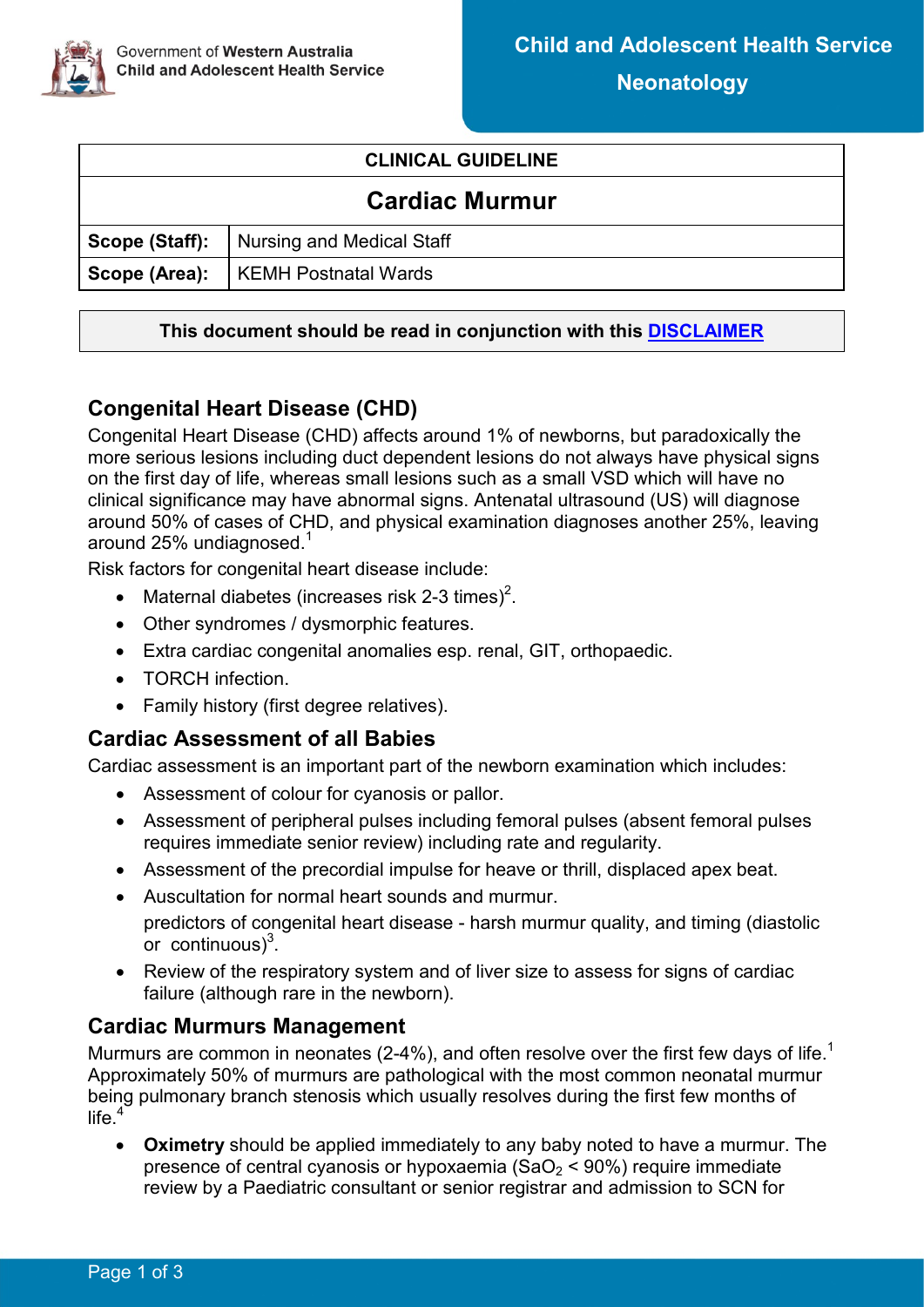

### **CLINICAL GUIDELINE**

| <b>Cardiac Murmur</b> |                                                 |  |  |
|-----------------------|-------------------------------------------------|--|--|
|                       | <b>Scope (Staff):</b> Nursing and Medical Staff |  |  |
|                       | Scope (Area):   KEMH Postnatal Wards            |  |  |

#### **This document should be read in conjunction with this [DISCLAIMER](https://healthpoint.hdwa.health.wa.gov.au/policies/Policies/CAHS/CAHS.PM.ClinicalDisclaimer.pdf)**

# **Congenital Heart Disease (CHD)**

Congenital Heart Disease (CHD) affects around 1% of newborns, but paradoxically the more serious lesions including duct dependent lesions do not always have physical signs on the first day of life, whereas small lesions such as a small VSD which will have no clinical significance may have abnormal signs. Antenatal ultrasound (US) will diagnose around 50% of cases of CHD, and physical examination diagnoses another 25%, leaving around 25% undiagnosed. $1$ 

Risk factors for congenital heart disease include:

- Maternal diabetes (increases risk 2-3 times)<sup>2</sup>.
- Other syndromes / dysmorphic features.
- Extra cardiac congenital anomalies esp. renal, GIT, orthopaedic.
- TORCH infection.
- Family history (first degree relatives).

### **Cardiac Assessment of all Babies**

Cardiac assessment is an important part of the newborn examination which includes:

- Assessment of colour for cyanosis or pallor.
- Assessment of peripheral pulses including femoral pulses (absent femoral pulses requires immediate senior review) including rate and regularity.
- Assessment of the precordial impulse for heave or thrill, displaced apex beat.
- Auscultation for normal heart sounds and murmur. predictors of congenital heart disease - harsh murmur quality, and timing (diastolic or continuous) $3$ .
- Review of the respiratory system and of liver size to assess for signs of cardiac failure (although rare in the newborn).

### **Cardiac Murmurs Management**

Murmurs are common in neonates (2-4%), and often resolve over the first few days of life.<sup>[1](#page-1-0)</sup> Approximately 50% of murmurs are pathological with the most common neonatal murmur being pulmonary branch stenosis which usually resolves during the first few months of life. $4$ 

• **Oximetry** should be applied immediately to any baby noted to have a murmur. The presence of central cyanosis or hypoxaemia ( $SaO<sub>2</sub> < 90$ %) require immediate review by a Paediatric consultant or senior registrar and admission to SCN for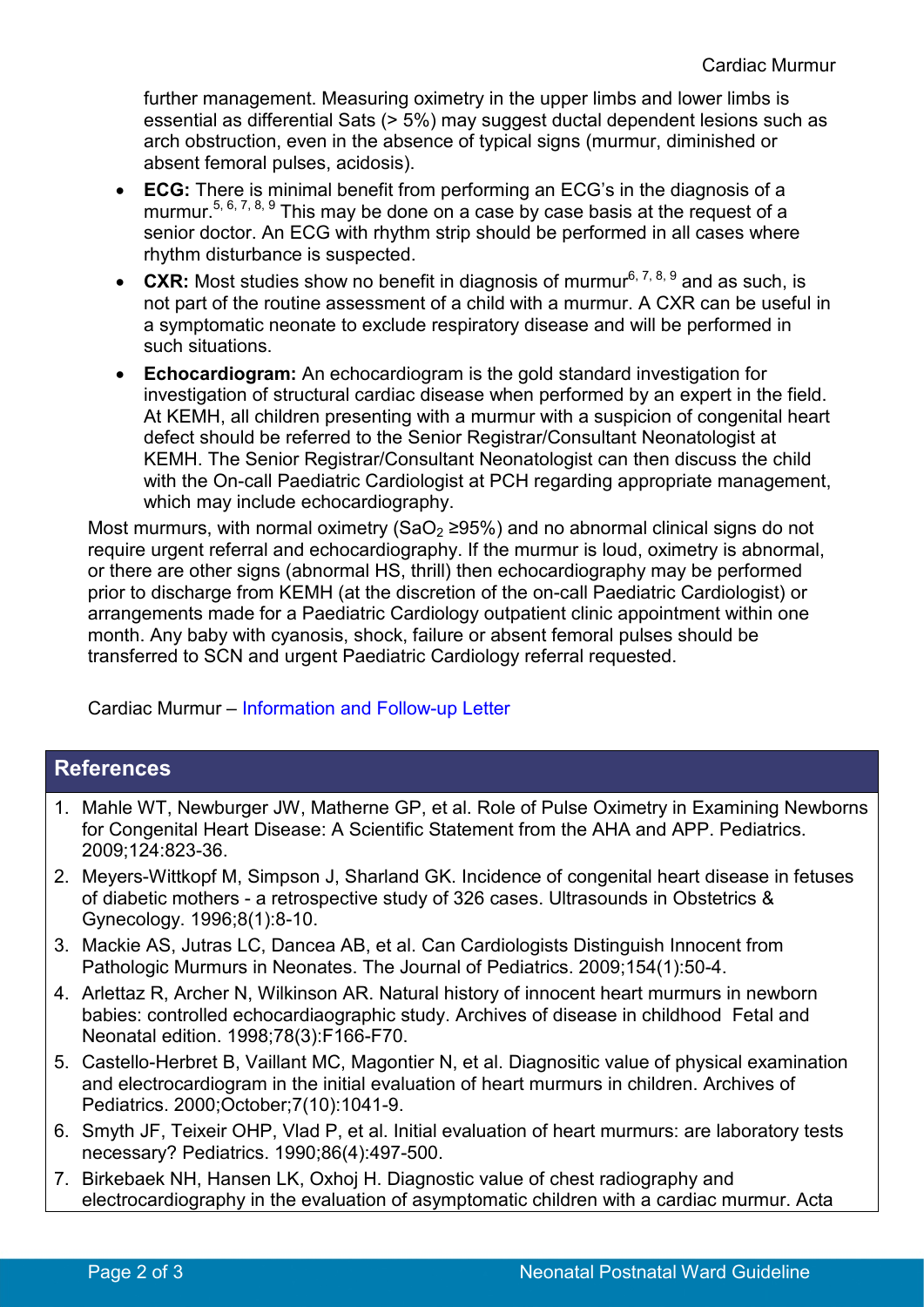further management. Measuring oximetry in the upper limbs and lower limbs is essential as differential Sats (> 5%) may suggest ductal dependent lesions such as arch obstruction, even in the absence of typical signs (murmur, diminished or absent femoral pulses, acidosis).

- **ECG:** There is minimal benefit from performing an ECG's in the diagnosis of a murmur.<sup>[5,](#page-1-4) [6,](#page-1-5) [7,](#page-1-6) [8,](#page-2-0) [9](#page-2-1)</sup> This may be done on a case by case basis at the request of a senior doctor. An ECG with rhythm strip should be performed in all cases where rhythm disturbance is suspected.
- **CXR:** Most studies show no benefit in diagnosis of murmur<sup>6, [7,](#page-1-6) [8,](#page-2-0) [9](#page-2-1)</sup> and as such, is not part of the routine assessment of a child with a murmur. A CXR can be useful in a symptomatic neonate to exclude respiratory disease and will be performed in such situations.
- **Echocardiogram:** An echocardiogram is the gold standard investigation for investigation of structural cardiac disease when performed by an expert in the field. At KEMH, all children presenting with a murmur with a suspicion of congenital heart defect should be referred to the Senior Registrar/Consultant Neonatologist at KEMH. The Senior Registrar/Consultant Neonatologist can then discuss the child with the On-call Paediatric Cardiologist at PCH regarding appropriate management, which may include echocardiography.

Most murmurs, with normal oximetry (SaO<sub>2</sub>  $\geq$ 95%) and no abnormal clinical signs do not require urgent referral and echocardiography. If the murmur is loud, oximetry is abnormal, or there are other signs (abnormal HS, thrill) then echocardiography may be performed prior to discharge from KEMH (at the discretion of the on-call Paediatric Cardiologist) or arrangements made for a Paediatric Cardiology outpatient clinic appointment within one month. Any baby with cyanosis, shock, failure or absent femoral pulses should be transferred to SCN and urgent Paediatric Cardiology referral requested.

Cardiac Murmur – [Information and Follow-up Letter](https://cahs-healthpoint.hdwa.health.wa.gov.au/Neonatology/Neonatology%20Forms/Cardiac%20Murmur-Information%20and%20Follow-up%20Letter.pdf)

## **References**

- <span id="page-1-0"></span>1. Mahle WT, Newburger JW, Matherne GP, et al. Role of Pulse Oximetry in Examining Newborns for Congenital Heart Disease: A Scientific Statement from the AHA and APP. Pediatrics. 2009;124:823-36.
- <span id="page-1-1"></span>2. Meyers-Wittkopf M, Simpson J, Sharland GK. Incidence of congenital heart disease in fetuses of diabetic mothers - a retrospective study of 326 cases. Ultrasounds in Obstetrics & Gynecology. 1996;8(1):8-10.
- <span id="page-1-3"></span><span id="page-1-2"></span>3. Mackie AS, Jutras LC, Dancea AB, et al. Can Cardiologists Distinguish Innocent from Pathologic Murmurs in Neonates. The Journal of Pediatrics. 2009;154(1):50-4.
- 4. Arlettaz R, Archer N, Wilkinson AR. Natural history of innocent heart murmurs in newborn babies: controlled echocardiaographic study. Archives of disease in childhood Fetal and Neonatal edition. 1998;78(3):F166-F70.
- <span id="page-1-4"></span>5. Castello-Herbret B, Vaillant MC, Magontier N, et al. Diagnositic value of physical examination and electrocardiogram in the initial evaluation of heart murmurs in children. Archives of Pediatrics. 2000;October;7(10):1041-9.
- <span id="page-1-5"></span>6. Smyth JF, Teixeir OHP, Vlad P, et al. Initial evaluation of heart murmurs: are laboratory tests necessary? Pediatrics. 1990;86(4):497-500.
- <span id="page-1-6"></span>7. Birkebaek NH, Hansen LK, Oxhoj H. Diagnostic value of chest radiography and electrocardiography in the evaluation of asymptomatic children with a cardiac murmur. Acta